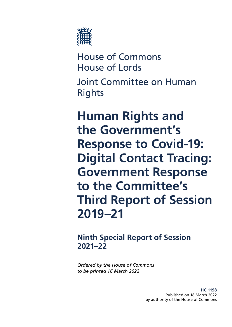

House of Commons House of Lords Joint Committee on Human Rights

# **Human Rights and the Government's Response to Covid-19: Digital Contact Tracing: Government Response to the Committee's Third Report of Session 2019–21**

# **Ninth Special Report of Session 2021–22**

*Ordered by the House of Commons to be printed 16 March 2022*

> **HC 1198** Published on 18 March 2022 by authority of the House of Commons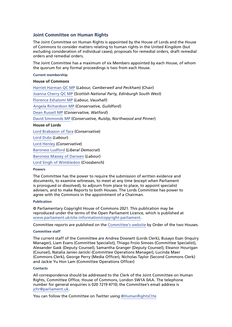#### **Joint Committee on Human Rights**

The Joint Committee on Human Rights is appointed by the House of Lords and the House of Commons to consider matters relating to human rights in the United Kingdom (but excluding consideration of individual cases); proposals for remedial orders, draft remedial orders and remedial orders.

The Joint Committee has a maximum of six Members appointed by each House, of whom the quorum for any formal proceedings is two from each House.

**Current membership**

#### **House of Commons**

[Harriet Harman QC MP](https://members.parliament.uk/member/150/contact) (*Labour, Camberwell and Peckham*) (Chair) [Joanna Cherry QC MP](https://members.parliament.uk/member/4419/contact) (*Scottish National Party, Edinburgh South West*) [Florence Eshalomi MP](https://members.parliament.uk/member/4870/contact) (*Labour, Vauxhall*) [Angela Richardson MP](https://members.parliament.uk/member/4840/contact) (*Conservative, Guildford*) [Dean Russell MP](https://members.parliament.uk/member/4812/contact) (*Conservative, Watford*) [David Simmonds MP](https://members.parliament.uk/member/4872/contact) (*Conservative, Ruislip, Northwood and Pinner*) **House of Lords** [Lord Brabazon of Tara](https://members.parliament.uk/member/3493/contact) (*Conservative*) [Lord Dubs](https://members.parliament.uk/member/805/contact) (*Labour*) [Lord Henley](https://members.parliament.uk/member/2616/contact) (*Conservative*) [Baroness Ludford](https://members.parliament.uk/member/1867/contact) (*Liberal Democrat*)

[Baroness Massey of Darwen](https://members.parliament.uk/member/2489/contact) (*Labour*)

[Lord Singh of Wimbledon](https://members.parliament.uk/member/4251/contact) (*Crossbench*)

#### **Powers**

The Committee has the power to require the submission of written evidence and documents, to examine witnesses, to meet at any time (except when Parliament is prorogued or dissolved), to adjourn from place to place, to appoint specialist advisers, and to make Reports to both Houses. The Lords Committee has power to agree with the Commons in the appointment of a Chairman.

#### **Publication**

© Parliamentary Copyright House of Commons 2021. This publication may be reproduced under the terms of the Open Parliament Licence, which is published at [www.parliament.uk/site-information/copyright-parliament.](https://www.parliament.uk/site-information/copyright-parliament/)

Committee reports are published on the [Committee's website](https://committees.parliament.uk/committee/93/human-rights-joint-committee/) by Order of the two Houses.

#### **Committee staff**

The current staff of the Committee are Andrea Dowsett (Lords Clerk), Busayo Esan (Inquiry Manager), Liam Evans (Committee Specialist), Thiago Froio Simoes (Committee Specialist), Alexander Gask (Deputy Counsel), Samantha Granger (Deputy Counsel), Eleanor Hourigan (Counsel), Natalia Janiec-Janicki (Committee Operations Manager), Lucinda Maer (Commons Clerk), George Perry (Media Officer), Nicholas Taylor (Second Commons Clerk) and Jackie Yu Hon Lam (Committee Operations Officer)

#### **Contacts**

All correspondence should be addressed to the Clerk of the Joint Committee on Human Rights, Committee Office, House of Commons, London SW1A 0AA. The telephone number for general enquiries is 020 7219 4710; the Committee's email address is [jchr@parliament.uk](mailto:jchr%40parliament.uk?subject=).

You can follow the Committee on Twitter using [@HumanRightsCtte](https://twitter.com/HumanRightsCtte?ref_src=twsrc%5Egoogle%7Ctwcamp%5Eserp%7Ctwgr%5Eauthor)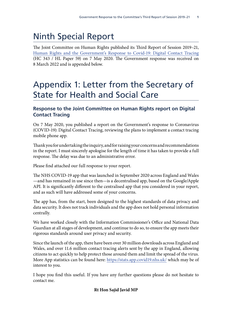# Ninth Special Report

The Joint Committee on Human Rights published its Third Report of Session 2019–21, [Human Rights and the Government's Response to Covid-19: Digital Contact Tracing](https://committees.parliament.uk/publications/992/documents/7782/default/) (HC 343 / HL Paper 59) on 7 May 2020. The Government response was received on 8 March 2022 and is appended below.

# Appendix 1: Letter from the Secretary of State for Health and Social Care

# **Response to the Joint Committee on Human Rights report on Digital Contact Tracing**

On 7 May 2020, you published a report on the Government's response to Coronavirus (COVID-19): Digital Contact Tracing, reviewing the plans to implement a contact tracing mobile phone app.

Thank you for undertaking the inquiry, and for raising your concerns and recommendations in the report. I must sincerely apologise for the length of time it has taken to provide a full response. The delay was due to an administrative error.

Please find attached our full response to your report.

The NHS COVID-19 app that was launched in September 2020 across England and Wales —and has remained in use since then—is a decentralised app, based on the Google/Apple API. It is significantly different to the centralised app that you considered in your report, and as such will have addressed some of your concerns.

The app has, from the start, been designed to the highest standards of data privacy and data security. It does not track individuals and the app does not hold personal information centrally.

We have worked closely with the Information Commissioner's Office and National Data Guardian at all stages of development, and continue to do so, to ensure the app meets their rigorous standards around user privacy and security.

Since the launch of the app, there have been over 30 million downloads across England and Wales, and over 11.6 million contact tracing alerts sent by the app in England, allowing citizens to act quickly to help protect those around them and limit the spread of the virus. More App statistics can be found here: <https://stats.app.covid19.nhs.uk/>which may be of interest to you.

I hope you find this useful. If you have any further questions please do not hesitate to contact me.

### **Rt Hon Sajid Javid MP**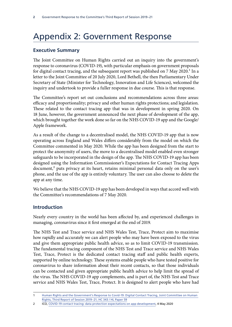# Appendix 2: Government Response

# **Executive Summary**

The Joint Committee on Human Rights carried out an inquiry into the government's response to coronavirus (COVID-19), with particular emphasis on government proposals for digital contact tracing, and the subsequent report was published on  $7$  May  $2020$ .<sup>1</sup> In a letter to the Joint Committee of 20 July 2020, Lord Bethell, the then Parliamentary Under Secretary of State (Minister for Technology, Innovation and Life Sciences), welcomed the inquiry and undertook to provide a fuller response in due course. This is that response.

The Committee's report set out conclusions and recommendations across three areas: efficacy and proportionality; privacy and other human rights protections; and legislation. These related to the contact tracing app that was in development in spring 2020. On 18 June, however, the government announced the next phase of development of the app, which brought together the work done so far on the NHS COVID-19 app and the Google/ Apple framework.

As a result of the change to a decentralised model, the NHS COVID-19 app that is now operating across England and Wales differs considerably from the model on which the Committee commented in May 2020. While the app has been designed from the start to protect the anonymity of users, the move to a decentralised model enabled even stronger safeguards to be incorporated in the design of the app. The NHS COVID-19 app has been designed using the Information Commissioner's Expectations for Contact Tracing Apps  $document<sup>2</sup> puts privacy at its heart, retains minimal personal data only on the user's$ phone, and the use of the app is entirely voluntary. The user can also choose to delete the app at any time.

We believe that the NHS COVID-19 app has been developed in ways that accord well with the Committee's recommendations of 7 May 2020.

# **Introduction**

Nearly every country in the world has been affected by, and experienced challenges in managing, coronavirus since it first emerged at the end of 2019.

The NHS Test and Trace service and NHS Wales Test, Trace, Protect aim to maximise how rapidly and accurately we can alert people who may have been exposed to the virus and give them appropriate public health advice, so as to limit COVID-19 transmission. The fundamental tracing component of the NHS Test and Trace service and NHS Wales Test, Trace, Protect is the dedicated contact tracing staff and public health experts, supported by online technology. These systems enable people who have tested positive for coronavirus to share information about their recent contacts, so that those individuals can be contacted and given appropriate public health advice to help limit the spread of the virus. The NHS COVID-19 app complements, and is part of, the NHS Test and Trace service and NHS Wales Test, Trace, Protect. It is designed to alert people who have had

<sup>1</sup> [Human Rights and the Government's Response to Covid-19: Digital Contact Tracing, Joint Committee on Human](https://committees.parliament.uk/publications/992/documents/7782/default/)  [Rights, Third Report of Session 2019–21, HC 343 / HL Paper 59](https://committees.parliament.uk/publications/992/documents/7782/default/)

<sup>2</sup> ICO, [COVID-19 contact tracing: data protection expectations on app development](https://ico.org.uk/about-the-ico/news-and-events/news-and-blogs/2020/05/covid-19-contact-tracing-data-protection-expectations-on-app-development/), 4 May 2020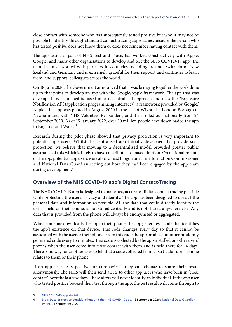close contact with someone who has subsequently tested positive but who it may not be possible to identify through standard contact tracing approaches, because the person who has tested positive does not know them or does not remember having contact with them.

The app team, as part of NHS Test and Trace, has worked constructively with Apple, Google, and many other organisations to develop and test the NHS COVID-19 app. The team has also worked with partners in countries including Ireland, Switzerland, New Zealand and Germany and is extremely grateful for their support and continues to learn from, and support, colleagues across the world.

On 18 June 2020, the Government announced that it was bringing together the work done up to that point to develop an app with the Google/Apple framework. The app that was developed and launched is based on a decentralised approach and uses the "Exposure Notification API (application programming interface)", a framework provided by Google/ Apple. This app was piloted in August 2020 in the Isle of Wight, the London Borough of Newham and with NHS Volunteer Responders, and then rolled out nationally from 24 September 2020. As of 19 January 2022, over 30 million people have downloaded the app in England and Wales.<sup>3</sup>

Research during the pilot phase showed that privacy protection is very important to potential app users. Whilst the centralised app initially developed did provide such protection, we believe that moving to a decentralised model provided greater public assurance of this which is likely to have contributed to mass adoption. On national roll out of the app, potential app users were able to read blogs from the Information Commissioner and National Data Guardian setting out how they had been engaged by the app team during development.<sup>4</sup>

# **Overview of the NHS COVID-19 app's Digital Contact-Tracing**

The NHS COVID-19 app is designed to make fast, accurate, digital contact tracing possible while protecting the user's privacy and identity. The app has been designed to use as little personal data and information as possible. All the data that could directly identify the user is held on their phone, is not stored centrally and is not shared anywhere else. Any data that is provided from the phone will always be anonymised or aggregated.

When someone downloads the app to their phone, the app generates a code that identifies the app's existence on that device. This code changes every day so that it cannot be associated with the user or their phone. From this code the app produces another randomly generated code every 15 minutes. This code is collected by the app installed on other users' phones when the user come into close contact with them and is held there for 14 days. There is no way for another user to tell that a code collected from a particular user's phone relates to them or their phone.

If an app user tests positive for coronavirus, they can choose to share their result anonymously. The NHS will then send alerts to other app users who have been in 'close contact', over the last few days. These alerts will never identify an individual. If the app user who tested positive booked their test through the app, the test result will come through to

<sup>3</sup> [NHS COVID-19 app statistics](https://stats.app.covid19.nhs.uk/#local-authority-filter)

<sup>4</sup> [Blog: Data protection considerations and the NHS COVID-19 app](https://ico.org.uk/global/data-protection-and-coronavirus-information-hub/blog-data-protection-considerations-and-the-nhs-covid-19-app/), 18 September 2020 ; [National Data Guardian](https://twitter.com/NDGoffice/status/1309067469798211589)  [tweet](https://twitter.com/NDGoffice/status/1309067469798211589), 24 September 2020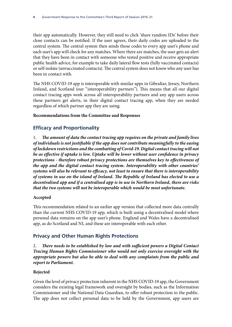their app automatically. However, they still need to click 'share random IDs' before their close contacts can be notified. If the user agrees, their daily codes are uploaded to the central system. The central system then sends those codes to every app user's phone and each user's app will check for any matches. Where there are matches, the user gets an alert that they have been in contact with someone who tested positive and receive appropriate public health advice, for example to take daily lateral flow tests (fully vaccinated contacts) or self-isolate (unvaccinated contacts). The central system does not know who any user has been in contact with.

The NHS COVID-19 app is interoperable with similar apps in Gibraltar, Jersey, Northern Ireland, and Scotland (our "interoperability partners"). This means that all our digital contact tracing apps work across all interoperability partners and any app users across these partners get alerts, in their digital contact tracing app, when they are needed regardless of which partner app they are using.

#### **Recommendations from the Committee and Responses**

# **Efficacy and Proportionality**

1. *The amount of data the contact tracing app requires on the private and family lives of individuals is not justifiable if the app does not contribute meaningfully to the easing of lockdown restrictions and the combatting of Covid-19. Digital contact tracing will not be as effective if uptake is low. Uptake will be lower without user confidence in privacy protections - therefore robust privacy protections are themselves key to effectiveness of the app and the digital contact tracing system. Interoperability with other countries' systems will also be relevant to efficacy, not least to ensure that there is interoperability of systems in use on the island of Ireland. The Republic of Ireland has elected to use a decentralised app and if a centralised app is in use in Northern Ireland, there are risks that the two systems will not be interoperable which would be most unfortunate.*

### **Accepted**

This recommendation related to an earlier app version that collected more data centrally than the current NHS COVID-19 app, which is built using a decentralised model where personal data remains on the app user's phone. England and Wales have a decentralised app, as do Scotland and NI, and these are interoperable with each other.

# **Privacy and Other Human Rights Protections**

2. *There needs to be established by law and with sufficient powers a Digital Contact Tracing Human Rights Commissioner who would not only exercise oversight with the appropriate powers but also be able to deal with any complaints from the public and report to Parliament.*

### **Rejected**

Given the level of privacy protection inherent in the NHS COVID-19 app, the Government considers the existing legal framework and oversight by bodies, such as the Information Commissioner and the National Data Guardian, to offer robust protection to the public. The app does not collect personal data to be held by the Government, app users are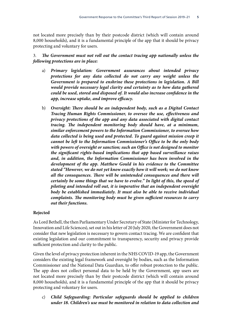not located more precisely than by their postcode district (which will contain around 8,000 households), and it is a fundamental principle of the app that it should be privacy protecting and voluntary for users.

### 3. *The Government must not roll out the contact tracing app nationally unless the following protections are in place:*

- a) *Primary legislation: Government assurances about intended privacy protections for any data collected do not carry any weight unless the Government is prepared to enshrine these protections in legislation. A Bill would provide necessary legal clarity and certainty as to how data gathered could be used, stored and disposed of. It would also increase confidence in the app, increase uptake, and improve efficacy.*
- b) *Oversight: There should be an independent body, such as a Digital Contact Tracing Human Rights Commissioner, to oversee the use, effectiveness and privacy protections of the app and any data associated with digital contact tracing. The independent monitoring body should have, at a minimum, similar enforcement powers to the Information Commissioner, to oversee how data collected is being used and protected. To guard against mission creep it cannot be left to the Information Commissioner's Office to be the only body with powers of oversight or sanction; such an Office is not designed to monitor the significant rights-based implications that app based surveillance raises and, in addition, the Information Commissioner has been involved in the development of the app. Matthew Gould in his evidence to the Committee stated "However, we do not yet know exactly how it will work; we do not know all the consequences. There will be unintended consequences and there will certainly be some things that we have to evolve." In light of this, the speed of piloting and intended roll out, it is imperative that an independent oversight body be established immediately. It must also be able to receive individual complaints. The monitoring body must be given sufficient resources to carry out their functions.*

#### **Rejected**

As Lord Bethell, the then Parliamentary Under Secretary of State (Minister for Technology, Innovation and Life Sciences), set out in his letter of 20 July 2020, the Government does not consider that new legislation is necessary to govern contact tracing. We are confident that existing legislation and our commitment to transparency, security and privacy provide sufficient protection and clarity to the public.

Given the level of privacy protection inherent in the NHS COVID-19 app, the Government considers the existing legal framework and oversight by bodies, such as the Information Commissioner and the National Data Guardian, to offer robust protection to the public. The app does not collect personal data to be held by the Government, app users are not located more precisely than by their postcode district (which will contain around 8,000 households), and it is a fundamental principle of the app that it should be privacy protecting and voluntary for users.

c) *Child Safeguarding: Particular safeguards should be applied to children under 18. Children's use must be monitored in relation to data collection and*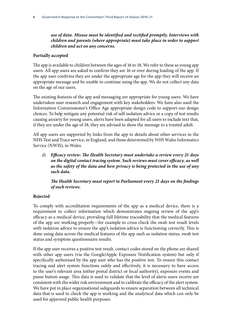### *use of data. Misuse must be identified and rectified promptly. Interviews with children and parents (where appropriate) must take place in order to support children and act on any concerns.*

#### **Partially accepted**

The app is available to children between the ages of 16 to 18. We refer to these as young app users. All app users are asked to confirm they are 16 or over during loading of the app. If the app user confirms they are under the appropriate age for the app they will receive an appropriate message and be unable to continue using the app. We do not collect any data on the age of our users.

The existing features of the app and messaging are appropriate for young users. We have undertaken user research and engagement with key stakeholders. We have also used the Information Commissioner's Office Age appropriate design code to support our design choices. To help mitigate any potential risk of self-isolation advice or a copy of test results causing anxiety for young users, alerts have been adapted for all users to include text that, if they are under the age of 18, they are advised to show the message to a trusted adult.

All app users are supported by links from the app to details about other services in the NHS Test and Trace service, in England, and those determined by NHS Wales Informatics Service (NWIS), in Wales.

d) *Efficacy review: The Health Secretary must undertake a review every 21 days on the digital contact tracing system. Such reviews must cover efficacy, as well as the safety of the data and how privacy is being protected in the use of any such data.*

*The Health Secretary must report to Parliament every 21 days on the findings of such reviews.*

#### **Rejected**

To comply with accreditation requirements of the app as a medical device, there is a requirement to collect information which demonstrates ongoing review of the app's efficacy as a medical device, providing full lifetime traceability that the medical features of the app are working properly—for example to cross check the swab test result levels with isolation advice to ensure the app's isolation advice is functioning correctly. This is done using data across the medical features of the app such as isolation status, swab test status and symptom questionnaire results.

If the app user receives a positive test result, contact codes stored on the phone are shared with other app users (via the Google/Apple Exposure Notification system) but only if specifically authorised by the app user who has the positive test. To ensure this contact tracing and alert system functions safely and effectively, it is necessary to have access to the user's relevant area (either postal district or local authority), exposure events and pause button usage. This data is used to validate that the level of alerts users receive are consistent with the wider risk environment and to calibrate the efficacy of the alert system. We have put in place organisational safeguards to ensure separation between all technical data that is used to check the app is working and the analytical data which can only be used for approved public health purposes.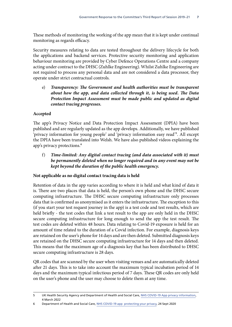These methods of monitoring the working of the app mean that it is kept under continual monitoring as regards efficacy.

Security measures relating to data are tested throughout the delivery lifecycle for both the applications and backend services. Protective security monitoring and application behaviour monitoring are provided by Cyber Defence Operations Centre and a company acting under contract to the DHSC (Zuhlke Engineering). Whilst Zuhlke Engineering are not required to process any personal data and are not considered a data processor, they operate under strict contractual controls.

e) *Transparency: The Government and health authorities must be transparent about how the app, and data collected through it, is being used. The Data Protection Impact Assessment must be made public and updated as digital contact tracing progresses.*

### **Accepted**

The app's Privacy Notice and Data Protection Impact Assessment (DPIA) have been published and are regularly updated as the app develops. Additionally, we have published 'privacy information for young people' and 'privacy information easy read'5. All except the DPIA have been translated into Welsh. We have also published videos explaining the app's privacy protections.<sup>6</sup>

f) *Time-limited: Any digital contact tracing (and data associated with it) must be permanently deleted when no longer required and in any event may not be kept beyond the duration of the public health emergency.*

### **Not applicable as no digital contact tracing data is held**

Retention of data in the app varies according to where it is held and what kind of data it is. There are two places that data is held, the person's own phone and the DHSC secure computing infrastructure. The DHSC secure computing infrastructure only processes data that is confirmed as anonymised as it enters the infrastructure. The exception to this (if you start your test request journey in the app) is a test code and test results, which are held briefly - the test codes that link a test result to the app are only held in the DHSC secure computing infrastructure for long enough to send the app the test result. The test codes are deleted within 48 hours. Data relating to Covid-19 exposure is held for an amount of time related to the duration of a Covid infection. For example, diagnosis keys are retained on the user's phone for 14 days and are then deleted. Submitted diagnosis keys are retained on the DHSC secure computing infrastructure for 14 days and then deleted. This means that the maximum age of a diagnosis key that has been distributed to DHSC secure computing infrastructure is 28 days.

QR codes that are scanned by the user when visiting venues and are automatically deleted after 21 days. This is to take into account the maximum typical incubation period of 14 days and the maximum typical infectious period of 7 days. These QR codes are only held on the user's phone and the user may choose to delete them at any time.

<sup>5</sup> UK Health Security Agency and Department of Health and Social Care, [NHS COVID-19 App privacy information](https://www.gov.uk/government/publications/nhs-covid-19-app-privacy-information), 4 March 2022

<sup>6</sup> Department of Health and Social Care, [NHS COVID-19 app protecting your privacy,](https://www.youtube.com/watch?v=nnk85UrQNB0) 24 Sept 2020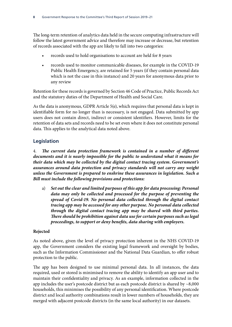The long-term retention of analytics data held in the secure computing infrastructure will follow the latest government advice and therefore may increase or decrease, but retention of records associated with the app are likely to fall into two categories:

- records used to hold organisations to account are held for 8 years
- records used to monitor communicable diseases, for example in the COVID-19 Public Health Emergency, are retained for 5 years (if they contain personal data which is not the case in this instance) and 20 years for anonymous data prior to any review

Retention for these records is governed by Section 46 Code of Practice, Public Records Act and the statutory duties of the Department of Health and Social Care.

As the data is anonymous, GDPR Article 5(e), which requires that personal data is kept in identifiable form for no longer than is necessary, is not engaged. Data submitted by app users does not contain direct, indirect or consistent identifiers. However, limits for the retention of data sets and records need to be set even where it does not constitute personal data. This applies to the analytical data noted above.

# **Legislation**

4. *The current data protection framework is contained in a number of different documents and it is nearly impossible for the public to understand what it means for their data which may be collected by the digital contact tracing system. Government's assurances around data protection and privacy standards will not carry any weight unless the Government is prepared to enshrine these assurances in legislation. Such a Bill must include the following provisions and protections:*

a) *Set out the clear and limited purposes of this app for data processing: Personal data may only be collected and processed for the purpose of preventing the spread of Covid-19. No personal data collected through the digital contact tracing app may be accessed for any other purpose. No personal data collected through the digital contact tracing app may be shared with third parties. There should be prohibition against data use for certain purposes such as legal proceedings, to support or deny benefits, data sharing with employers.*

#### **Rejected**

As noted above, given the level of privacy protection inherent in the NHS COVID-19 app, the Government considers the existing legal framework and oversight by bodies, such as the Information Commissioner and the National Data Guardian, to offer robust protection to the public.

The app has been designed to use minimal personal data. In all instances, the data required, used or stored is minimised to remove the ability to identify an app user and to maintain their confidentiality and privacy. As an example, information collected in the app includes the user's postcode district but as each postcode district is shared by  $\sim$ 8,000 households, this minimises the possibility of any personal identification. Where postcode district and local authority combinations result in lower numbers of households, they are merged with adjacent postcode districts (in the same local authority) in our datasets.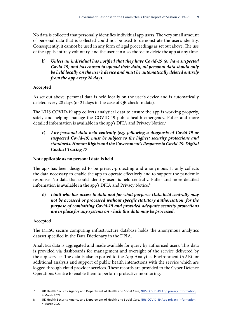No data is collected that personally identifies individual app users. The very small amount of personal data that is collected could not be used to demonstrate the user's identity. Consequently, it cannot be used in any form of legal proceedings as set out above. The use of the app is entirely voluntary, and the user can also choose to delete the app at any time.

b) *Unless an individual has notified that they have Covid-19 (or have suspected Covid-19) and has chosen to upload their data, all personal data should only be held locally on the user's device and must be automatically deleted entirely from the app every 28 days.*

#### **Accepted**

As set out above, personal data is held locally on the user's device and is automatically deleted every 28 days (or 21 days in the case of QR check in data).

The NHS COVID-19 app collects analytical data to ensure the app is working properly, safely and helping manage the COVID-19 public health emergency. Fuller and more detailed information is available in the app's DPIA and Privacy Notice.<sup>7</sup>

c) *Any personal data held centrally (e.g. following a diagnosis of Covid-19 or suspected Covid-19) must be subject to the highest security protections and standards. Human Rights and the Government's Response to Covid-19: Digital Contact Tracing 17*

#### **Not applicable as no personal data is held**

The app has been designed to be privacy-protecting and anonymous. It only collects the data necessary to enable the app to operate effectively and to support the pandemic response. No data that could identify users is held centrally. Fuller and more detailed information is available in the app's DPIA and Privacy Notice.<sup>8</sup>

d) *Limit who has access to data and for what purpose: Data held centrally may not be accessed or processed without specific statutory authorisation, for the purpose of combatting Covid-19 and provided adequate security protections are in place for any systems on which this data may be processed.*

#### **Accepted**

The DHSC secure computing infrastructure database holds the anonymous analytics dataset specified in the Data Dictionary in the DPIA.

Analytics data is aggregated and made available for query by authorised users. This data is provided via dashboards for management and oversight of the service delivered by the app service. The data is also exported to the App Analytics Environment (AAE) for additional analysis and support of public health interactions with the service which are logged through cloud provider services. These records are provided to the Cyber Defence Operations Centre to enable them to perform protective monitoring.

<sup>7</sup> UK Health Security Agency and Department of Health and Social Care, [NHS COVID-19 App privacy information](https://www.gov.uk/government/publications/nhs-covid-19-app-privacy-information), 4 March 2022

<sup>8</sup> UK Health Security Agency and Department of Health and Social Care, [NHS COVID-19 App privacy information](https://www.gov.uk/government/publications/nhs-covid-19-app-privacy-information), 4 March 2022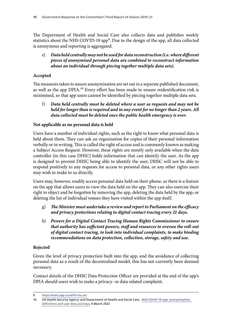The Department of Health and Social Care also collects data and publishes weekly statistics about the NHS COVID-19 app<sup>9</sup>. Due to the design of the app, all data collected is anonymous and reporting is aggregated.

### e) *Data held centrally may not be used for data reconstruction (i.e. where different pieces of anonymised personal data are combined to reconstruct information about an individual through piecing together multiple data sets).*

### **Accepted**

The measures taken to assure anonymisation are set out in a separate published document, as well as the app DPIA.<sup>10</sup> Every effort has been made to ensure reidentification risk is minimised, so that app users cannot be identified by piecing together multiple data sets.

f) *Data held centrally must be deleted where a user so requests and may not be held for longer than is required and in any event for no longer than 2 years. All data collected must be deleted once the public health emergency is over.*

### **Not applicable as no personal data is held**

Users have a number of individual rights, such as the right to know what personal data is held about them. They can ask an organisation for copies of their personal information verbally or in writing. This is called the right of access and is commonly known as making a Subject Access Request. However, these rights are mostly only available when the data controller (in this case DHSC) holds information that can identify the user. As the app is designed to prevent DHSC being able to identify the user, DHSC will not be able to respond positively to any requests for access to personal data, or any other rights users may wish to make to us directly.

Users may, however, readily access personal data held on their phone, as there is a feature on the app that allows users to view the data held on the app. They can also exercise their right to object and be forgotten by removing the app, deleting the data held by the app, or deleting the list of individual venues they have visited within the app itself.

- g) *The Minister must undertake a review and report to Parliament on the efficacy and privacy protections relating to digital contact tracing every 21 days.*
- h) *Powers for a Digital Contact Tracing Human Rights Commissioner to ensure that authority has sufficient powers, staff and resources to oversee the roll-out of digital contact tracing, to look into individual complaints, to make binding recommendations on data protection, collection, storage, safety and use.*

### **Rejected**

Given the level of privacy protection built into the app, and the avoidance of collecting personal data as a result of the decentralised model, this has not currently been deemed necessary.

Contact details of the DHSC Data Protection Officer are provided at the end of the app's DPIA should users wish to make a privacy- or data-related complaint.

<sup>9</sup> <https://stats.app.covid19.nhs.uk/>

<sup>10</sup> UK Health Security Agency and Department of Health and Social Care, [NHS COVID-19 app: anonymisation,](https://www.gov.uk/government/publications/nhs-covid-19-app-privacy-information/anonymisation-definitions-and-user-data-journeys)  [definitions and user data journeys,](https://www.gov.uk/government/publications/nhs-covid-19-app-privacy-information/anonymisation-definitions-and-user-data-journeys) 4 March 2022